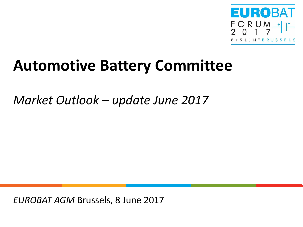

# **Automotive Battery Committee**

*Market Outlook – update June 2017*

*EUROBAT AGM* Brussels, 8 June 2017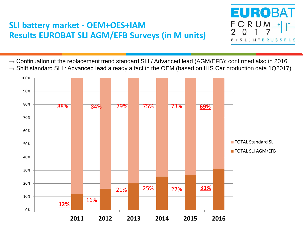# **SLI battery market - OEM+OES+IAM Results EUROBAT SLI AGM/EFB Surveys (in M units)**



 $\rightarrow$  Continuation of the replacement trend standard SLI / Advanced lead (AGM/EFB): confirmed also in 2016  $\rightarrow$  Shift standard SLI : Advanced lead already a fact in the OEM (based on IHS Car production data 1Q2017)

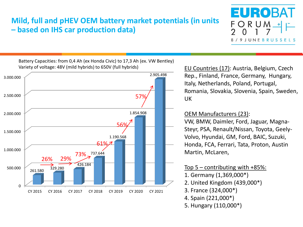## **Mild, full and pHEV OEM battery market potentials (in units – based on IHS car production data)**



Battery Capacities: from 0,4 Ah (ex Honda Civic) to 17,3 Ah (ex. VW Bentley) Variety of voltage: 48V (mild hybrids) to 650V (full hybrids)



EU Countries (17): Austria, Belgium, Czech Rep., Finland, France, Germany, Hungary, Italy, Netherlands, Poland, Portugal, Romania, Slovakia, Slovenia, Spain, Sweden, UK

## OEM Manufacturers (23):

VW, BMW, Daimler, Ford, Jaguar, Magna-Steyr, PSA, Renault/Nissan, Toyota, Geely-Volvo, Hyundai, GM, Ford, BAIC, Suzuki, Honda, FCA, Ferrari, Tata, Proton, Austin Martin, McLaren,

### Top  $5$  – contributing with  $+85\%$ :

- 1. Germany (1,369,000\*)
- 2. United Kingdom (439,000\*)
- 3. France (324,000\*)
- 4. Spain (221,000\*)
- 5. Hungary (110,000\*)